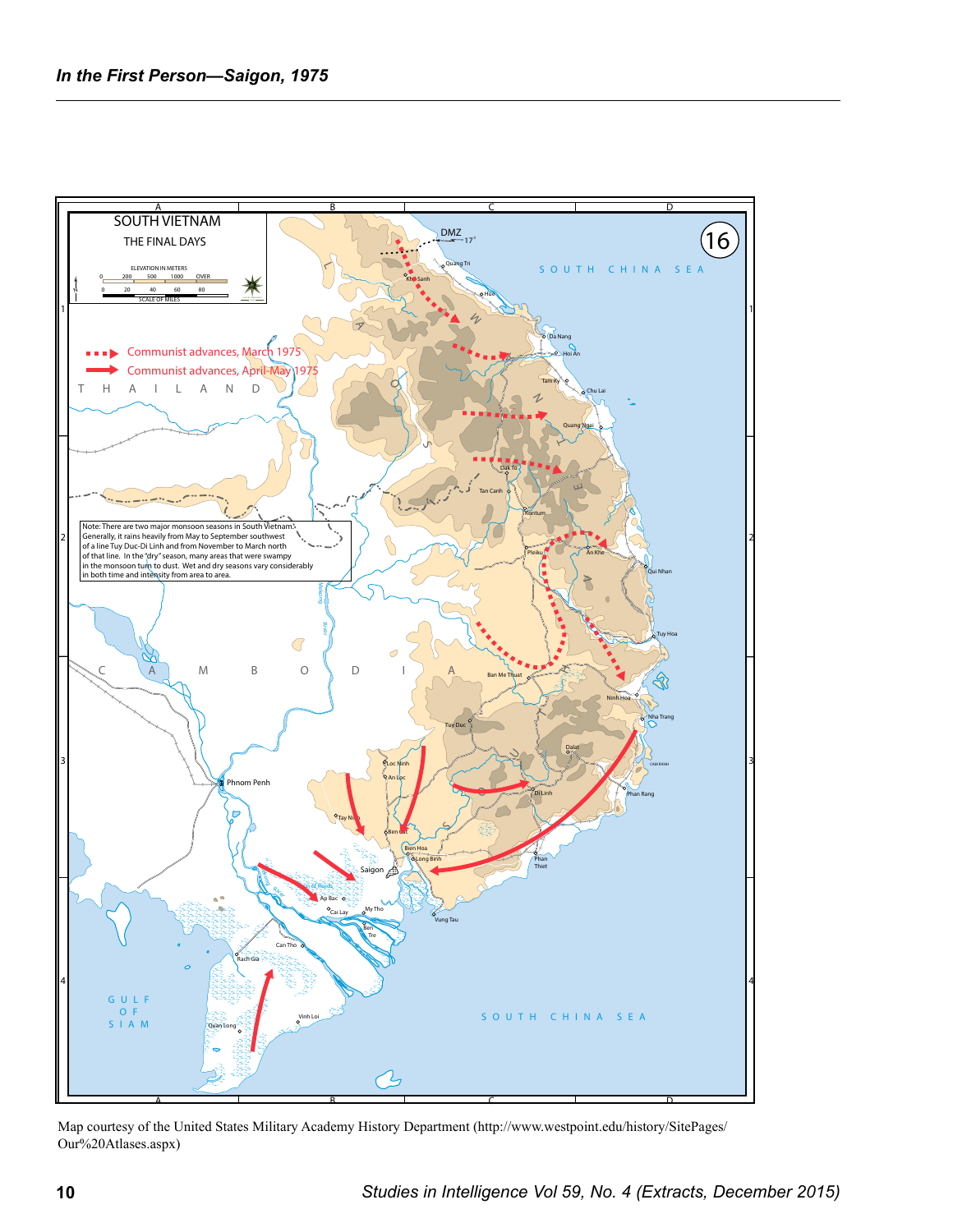

Map courtesy of the United States Military Academy History Department (http://www.westpoint.edu/history/SitePages/ Our%20Atlases.aspx)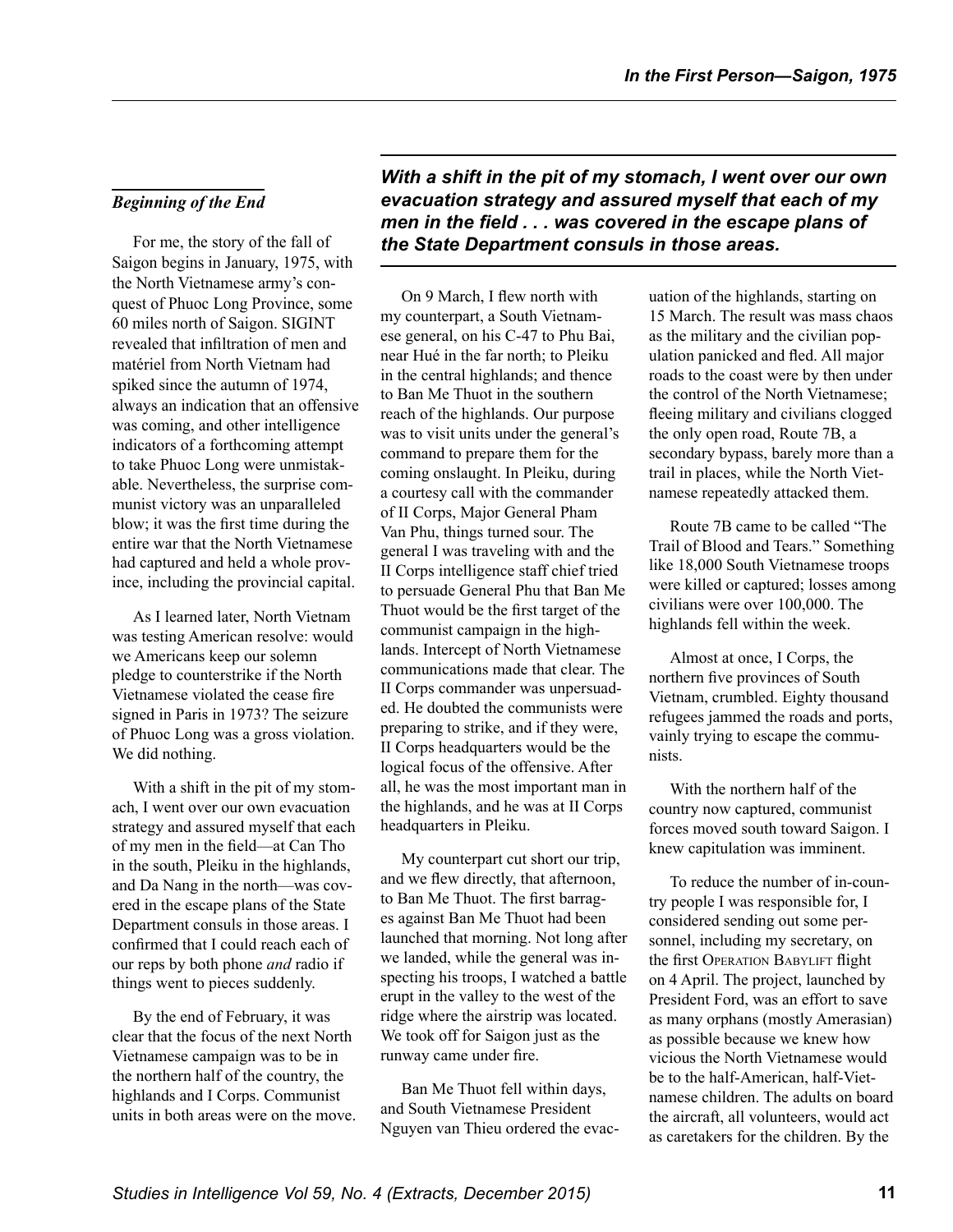### *Beginning of the End*

For me, the story of the fall of Saigon begins in January, 1975, with the North Vietnamese army's conquest of Phuoc Long Province, some 60 miles north of Saigon. SIGINT revealed that infiltration of men and matériel from North Vietnam had spiked since the autumn of 1974, always an indication that an offensive was coming, and other intelligence indicators of a forthcoming attempt to take Phuoc Long were unmistakable. Nevertheless, the surprise communist victory was an unparalleled blow; it was the first time during the entire war that the North Vietnamese had captured and held a whole province, including the provincial capital.

As I learned later, North Vietnam was testing American resolve: would we Americans keep our solemn pledge to counterstrike if the North Vietnamese violated the cease fire signed in Paris in 1973? The seizure of Phuoc Long was a gross violation. We did nothing.

With a shift in the pit of my stomach, I went over our own evacuation strategy and assured myself that each of my men in the field—at Can Tho in the south, Pleiku in the highlands, and Da Nang in the north—was covered in the escape plans of the State Department consuls in those areas. I confirmed that I could reach each of our reps by both phone *and* radio if things went to pieces suddenly.

By the end of February, it was clear that the focus of the next North Vietnamese campaign was to be in the northern half of the country, the highlands and I Corps. Communist units in both areas were on the move. *With a shift in the pit of my stomach, I went over our own evacuation strategy and assured myself that each of my men in the field . . . was covered in the escape plans of the State Department consuls in those areas.* 

On 9 March, I flew north with my counterpart, a South Vietnamese general, on his C-47 to Phu Bai, near Hué in the far north; to Pleiku in the central highlands; and thence to Ban Me Thuot in the southern reach of the highlands. Our purpose was to visit units under the general's command to prepare them for the coming onslaught. In Pleiku, during a courtesy call with the commander of II Corps, Major General Pham Van Phu, things turned sour. The general I was traveling with and the II Corps intelligence staff chief tried to persuade General Phu that Ban Me Thuot would be the first target of the communist campaign in the highlands. Intercept of North Vietnamese communications made that clear. The II Corps commander was unpersuaded. He doubted the communists were preparing to strike, and if they were, II Corps headquarters would be the logical focus of the offensive. After all, he was the most important man in the highlands, and he was at II Corps headquarters in Pleiku.

My counterpart cut short our trip, and we flew directly, that afternoon, to Ban Me Thuot. The first barrages against Ban Me Thuot had been launched that morning. Not long after we landed, while the general was inspecting his troops, I watched a battle erupt in the valley to the west of the ridge where the airstrip was located. We took off for Saigon just as the runway came under fire.

Ban Me Thuot fell within days, and South Vietnamese President Nguyen van Thieu ordered the evacuation of the highlands, starting on 15 March. The result was mass chaos as the military and the civilian population panicked and fled. All major roads to the coast were by then under the control of the North Vietnamese; fleeing military and civilians clogged the only open road, Route 7B, a secondary bypass, barely more than a trail in places, while the North Vietnamese repeatedly attacked them.

Route 7B came to be called "The Trail of Blood and Tears." Something like 18,000 South Vietnamese troops were killed or captured; losses among civilians were over 100,000. The highlands fell within the week.

Almost at once, I Corps, the northern five provinces of South Vietnam, crumbled. Eighty thousand refugees jammed the roads and ports, vainly trying to escape the communists.

With the northern half of the country now captured, communist forces moved south toward Saigon. I knew capitulation was imminent.

To reduce the number of in-country people I was responsible for, I considered sending out some personnel, including my secretary, on the first OPERATION BABYLIFT flight on 4 April. The project, launched by President Ford, was an effort to save as many orphans (mostly Amerasian) as possible because we knew how vicious the North Vietnamese would be to the half-American, half-Vietnamese children. The adults on board the aircraft, all volunteers, would act as caretakers for the children. By the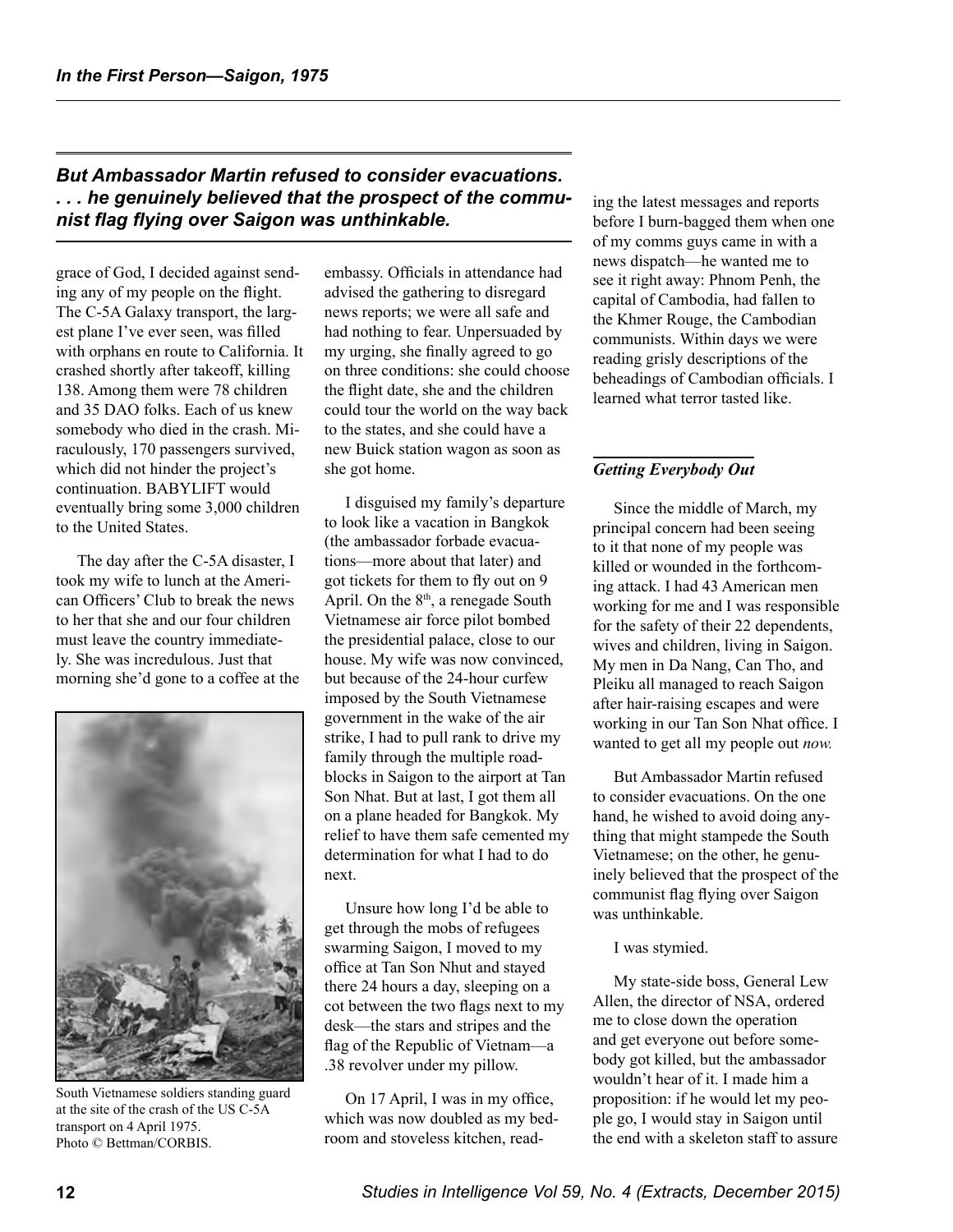# *But Ambassador Martin refused to consider evacuations. . . . he genuinely believed that the prospect of the communist flag flying over Saigon was unthinkable.*

grace of God, I decided against sending any of my people on the flight. The C-5A Galaxy transport, the largest plane I've ever seen, was filled with orphans en route to California. It crashed shortly after takeoff, killing 138. Among them were 78 children and 35 DAO folks. Each of us knew somebody who died in the crash. Miraculously, 170 passengers survived, which did not hinder the project's continuation. BABYLIFT would eventually bring some 3,000 children to the United States.

The day after the C-5A disaster, I took my wife to lunch at the American Officers' Club to break the news to her that she and our four children must leave the country immediately. She was incredulous. Just that morning she'd gone to a coffee at the



South Vietnamese soldiers standing guard at the site of the crash of the US C-5A transport on 4 April 1975. Photo © Bettman/CORBIS.

embassy. Officials in attendance had advised the gathering to disregard news reports; we were all safe and had nothing to fear. Unpersuaded by my urging, she finally agreed to go on three conditions: she could choose the flight date, she and the children could tour the world on the way back to the states, and she could have a new Buick station wagon as soon as she got home.

I disguised my family's departure to look like a vacation in Bangkok (the ambassador forbade evacuations—more about that later) and got tickets for them to fly out on 9 April. On the 8<sup>th</sup>, a renegade South Vietnamese air force pilot bombed the presidential palace, close to our house. My wife was now convinced, but because of the 24-hour curfew imposed by the South Vietnamese government in the wake of the air strike, I had to pull rank to drive my family through the multiple roadblocks in Saigon to the airport at Tan Son Nhat. But at last, I got them all on a plane headed for Bangkok. My relief to have them safe cemented my determination for what I had to do next.

Unsure how long I'd be able to get through the mobs of refugees swarming Saigon, I moved to my office at Tan Son Nhut and stayed there 24 hours a day, sleeping on a cot between the two flags next to my desk—the stars and stripes and the flag of the Republic of Vietnam—a .38 revolver under my pillow.

On 17 April, I was in my office, which was now doubled as my bedroom and stoveless kitchen, reading the latest messages and reports before I burn-bagged them when one of my comms guys came in with a news dispatch—he wanted me to see it right away: Phnom Penh, the capital of Cambodia, had fallen to the Khmer Rouge, the Cambodian communists. Within days we were reading grisly descriptions of the beheadings of Cambodian officials. I learned what terror tasted like.

# *Getting Everybody Out*

Since the middle of March, my principal concern had been seeing to it that none of my people was killed or wounded in the forthcoming attack. I had 43 American men working for me and I was responsible for the safety of their 22 dependents, wives and children, living in Saigon. My men in Da Nang, Can Tho, and Pleiku all managed to reach Saigon after hair-raising escapes and were working in our Tan Son Nhat office. I wanted to get all my people out *now.* 

But Ambassador Martin refused to consider evacuations. On the one hand, he wished to avoid doing anything that might stampede the South Vietnamese; on the other, he genuinely believed that the prospect of the communist flag flying over Saigon was unthinkable.

#### I was stymied.

My state-side boss, General Lew Allen, the director of NSA, ordered me to close down the operation and get everyone out before somebody got killed, but the ambassador wouldn't hear of it. I made him a proposition: if he would let my people go, I would stay in Saigon until the end with a skeleton staff to assure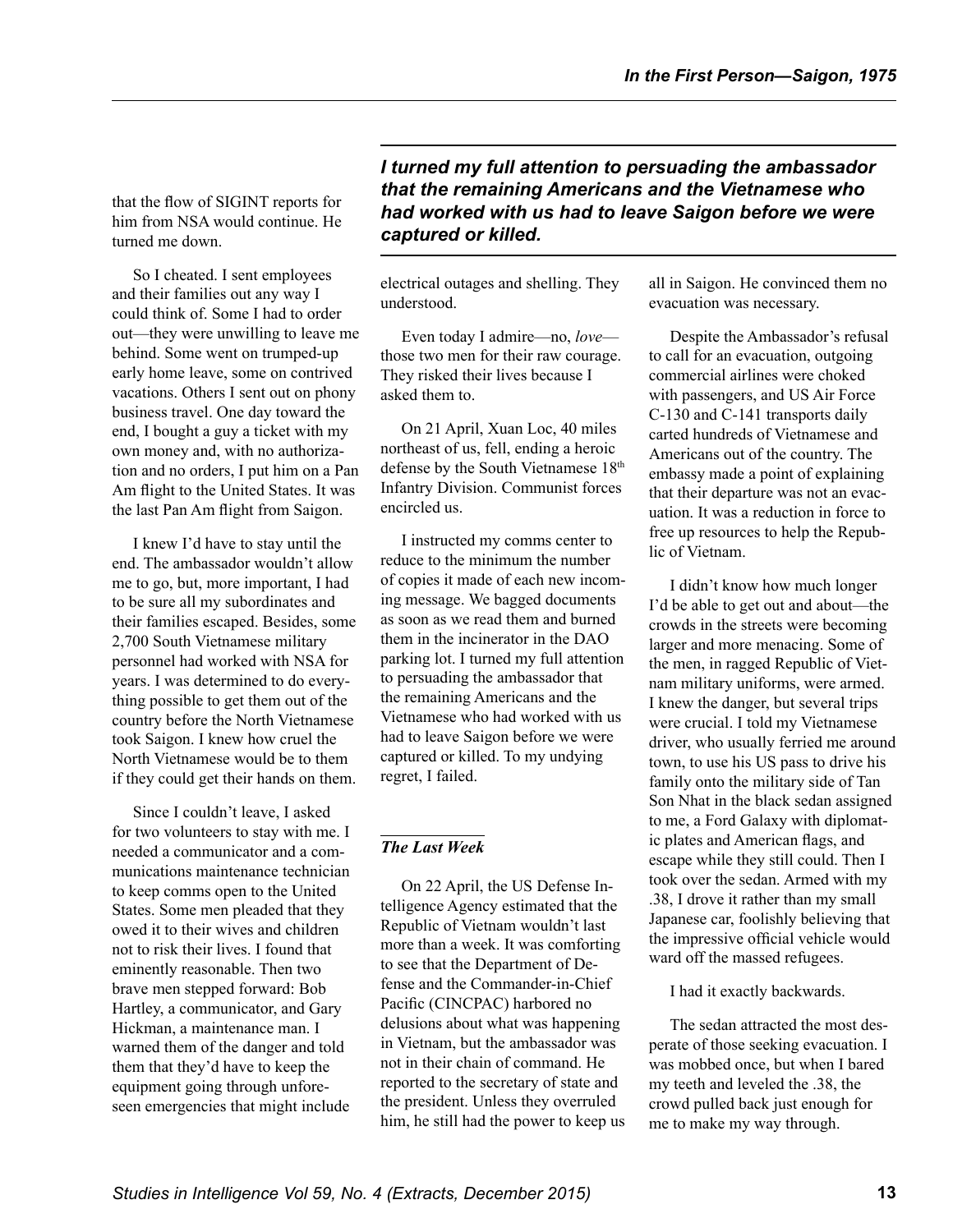him from NSA would continue. He turned me down.

So I cheated. I sent employees and their families out any way I could think of. Some I had to order out—they were unwilling to leave me behind. Some went on trumped-up early home leave, some on contrived vacations. Others I sent out on phony business travel. One day toward the end, I bought a guy a ticket with my own money and, with no authorization and no orders, I put him on a Pan Am flight to the United States. It was the last Pan Am flight from Saigon.

I knew I'd have to stay until the end. The ambassador wouldn't allow me to go, but, more important, I had to be sure all my subordinates and their families escaped. Besides, some 2,700 South Vietnamese military personnel had worked with NSA for years. I was determined to do everything possible to get them out of the country before the North Vietnamese took Saigon. I knew how cruel the North Vietnamese would be to them if they could get their hands on them.

Since I couldn't leave, I asked for two volunteers to stay with me. I needed a communicator and a communications maintenance technician to keep comms open to the United States. Some men pleaded that they owed it to their wives and children not to risk their lives. I found that eminently reasonable. Then two brave men stepped forward: Bob Hartley, a communicator, and Gary Hickman, a maintenance man. I warned them of the danger and told them that they'd have to keep the equipment going through unforeseen emergencies that might include

# *I turned my full attention to persuading the ambassador*  **that the remaining Americans and the Vietnamese who** <br>that the flow of SIGINT reports for **the flow produced with you had to leave Sainer before** we want *had worked with us had to leave Saigon before we were captured or killed.*

electrical outages and shelling. They understood.

Even today I admire—no, *love* those two men for their raw courage. They risked their lives because I asked them to.

On 21 April, Xuan Loc, 40 miles northeast of us, fell, ending a heroic defense by the South Vietnamese 18<sup>th</sup> Infantry Division. Communist forces encircled us.

I instructed my comms center to reduce to the minimum the number of copies it made of each new incoming message. We bagged documents as soon as we read them and burned them in the incinerator in the DAO parking lot. I turned my full attention to persuading the ambassador that the remaining Americans and the Vietnamese who had worked with us had to leave Saigon before we were captured or killed. To my undying regret, I failed.

## *The Last Week*

On 22 April, the US Defense Intelligence Agency estimated that the Republic of Vietnam wouldn't last more than a week. It was comforting to see that the Department of Defense and the Commander-in-Chief Pacific (CINCPAC) harbored no delusions about what was happening in Vietnam, but the ambassador was not in their chain of command. He reported to the secretary of state and the president. Unless they overruled him, he still had the power to keep us all in Saigon. He convinced them no evacuation was necessary.

Despite the Ambassador's refusal to call for an evacuation, outgoing commercial airlines were choked with passengers, and US Air Force C-130 and C-141 transports daily carted hundreds of Vietnamese and Americans out of the country. The embassy made a point of explaining that their departure was not an evacuation. It was a reduction in force to free up resources to help the Republic of Vietnam.

I didn't know how much longer I'd be able to get out and about—the crowds in the streets were becoming larger and more menacing. Some of the men, in ragged Republic of Vietnam military uniforms, were armed. I knew the danger, but several trips were crucial. I told my Vietnamese driver, who usually ferried me around town, to use his US pass to drive his family onto the military side of Tan Son Nhat in the black sedan assigned to me, a Ford Galaxy with diplomatic plates and American flags, and escape while they still could. Then I took over the sedan. Armed with my .38, I drove it rather than my small Japanese car, foolishly believing that the impressive official vehicle would ward off the massed refugees.

I had it exactly backwards.

The sedan attracted the most desperate of those seeking evacuation. I was mobbed once, but when I bared my teeth and leveled the .38, the crowd pulled back just enough for me to make my way through.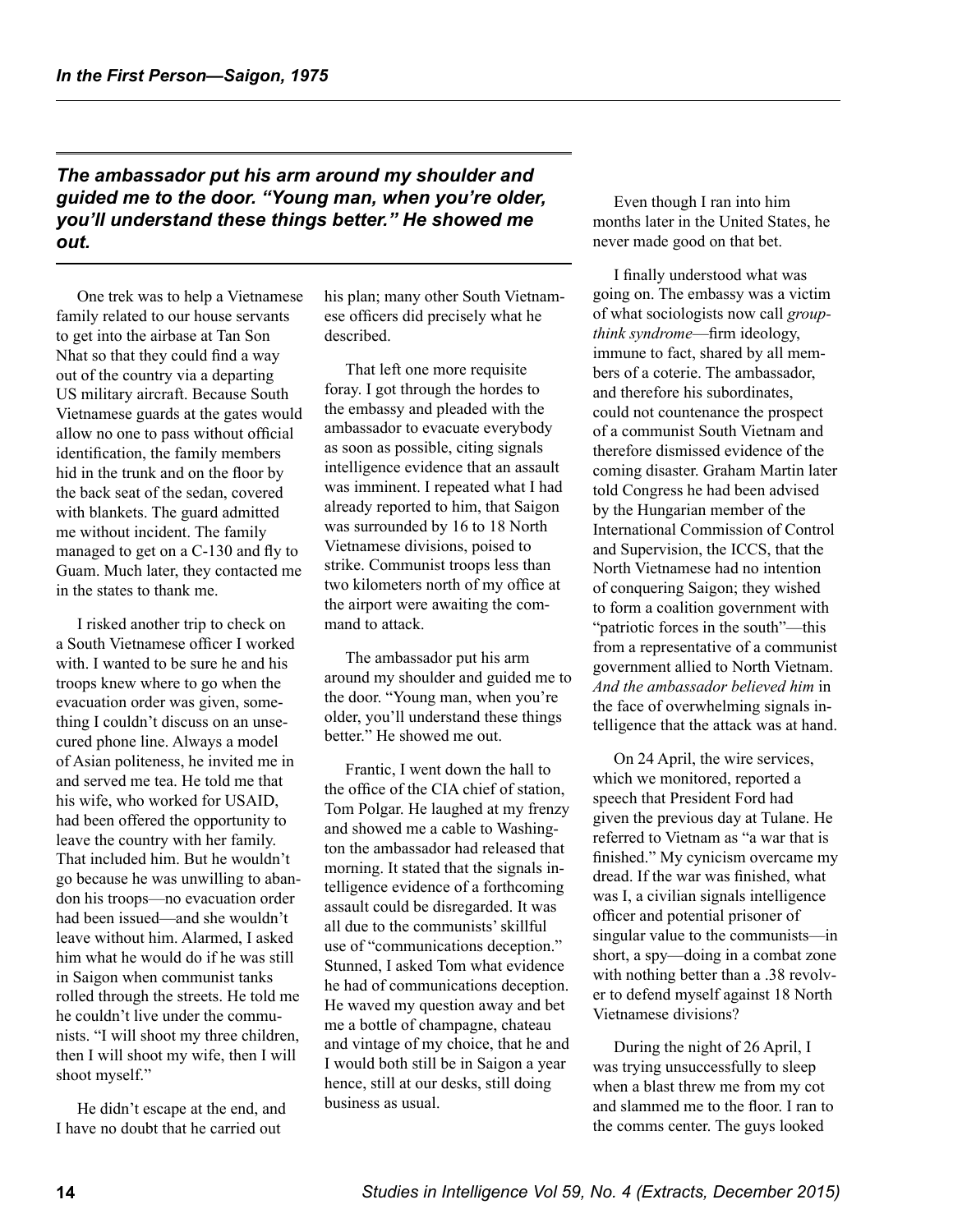## *The ambassador put his arm around my shoulder and*  **guided me to the door. "Young man, when you're older,** Even though I ran into him *you'll understand these things better." He showed me out.*

One trek was to help a Vietnamese family related to our house servants to get into the airbase at Tan Son Nhat so that they could find a way out of the country via a departing US military aircraft. Because South Vietnamese guards at the gates would allow no one to pass without official identification, the family members hid in the trunk and on the floor by the back seat of the sedan, covered with blankets. The guard admitted me without incident. The family managed to get on a C-130 and fly to Guam. Much later, they contacted me in the states to thank me.

I risked another trip to check on a South Vietnamese officer I worked with. I wanted to be sure he and his troops knew where to go when the evacuation order was given, something I couldn't discuss on an unsecured phone line. Always a model of Asian politeness, he invited me in and served me tea. He told me that his wife, who worked for USAID, had been offered the opportunity to leave the country with her family. That included him. But he wouldn't go because he was unwilling to abandon his troops—no evacuation order had been issued—and she wouldn't leave without him. Alarmed, I asked him what he would do if he was still in Saigon when communist tanks rolled through the streets. He told me he couldn't live under the communists. "I will shoot my three children, then I will shoot my wife, then I will shoot myself."

He didn't escape at the end, and I have no doubt that he carried out

his plan; many other South Vietnamese officers did precisely what he described.

That left one more requisite foray. I got through the hordes to the embassy and pleaded with the ambassador to evacuate everybody as soon as possible, citing signals intelligence evidence that an assault was imminent. I repeated what I had already reported to him, that Saigon was surrounded by 16 to 18 North Vietnamese divisions, poised to strike. Communist troops less than two kilometers north of my office at the airport were awaiting the command to attack.

The ambassador put his arm around my shoulder and guided me to the door. "Young man, when you're older, you'll understand these things better." He showed me out.

Frantic, I went down the hall to the office of the CIA chief of station, Tom Polgar. He laughed at my frenzy and showed me a cable to Washington the ambassador had released that morning. It stated that the signals intelligence evidence of a forthcoming assault could be disregarded. It was all due to the communists' skillful use of "communications deception." Stunned, I asked Tom what evidence he had of communications deception. He waved my question away and bet me a bottle of champagne, chateau and vintage of my choice, that he and I would both still be in Saigon a year hence, still at our desks, still doing business as usual.

months later in the United States, he never made good on that bet.

I finally understood what was going on. The embassy was a victim of what sociologists now call *groupthink syndrome*—firm ideology, immune to fact, shared by all members of a coterie. The ambassador, and therefore his subordinates, could not countenance the prospect of a communist South Vietnam and therefore dismissed evidence of the coming disaster. Graham Martin later told Congress he had been advised by the Hungarian member of the International Commission of Control and Supervision, the ICCS, that the North Vietnamese had no intention of conquering Saigon; they wished to form a coalition government with "patriotic forces in the south"—this from a representative of a communist government allied to North Vietnam. *And the ambassador believed him* in the face of overwhelming signals intelligence that the attack was at hand.

On 24 April, the wire services, which we monitored, reported a speech that President Ford had given the previous day at Tulane. He referred to Vietnam as "a war that is finished." My cynicism overcame my dread. If the war was finished, what was I, a civilian signals intelligence officer and potential prisoner of singular value to the communists—in short, a spy—doing in a combat zone with nothing better than a .38 revolver to defend myself against 18 North Vietnamese divisions?

During the night of 26 April, I was trying unsuccessfully to sleep when a blast threw me from my cot and slammed me to the floor. I ran to the comms center. The guys looked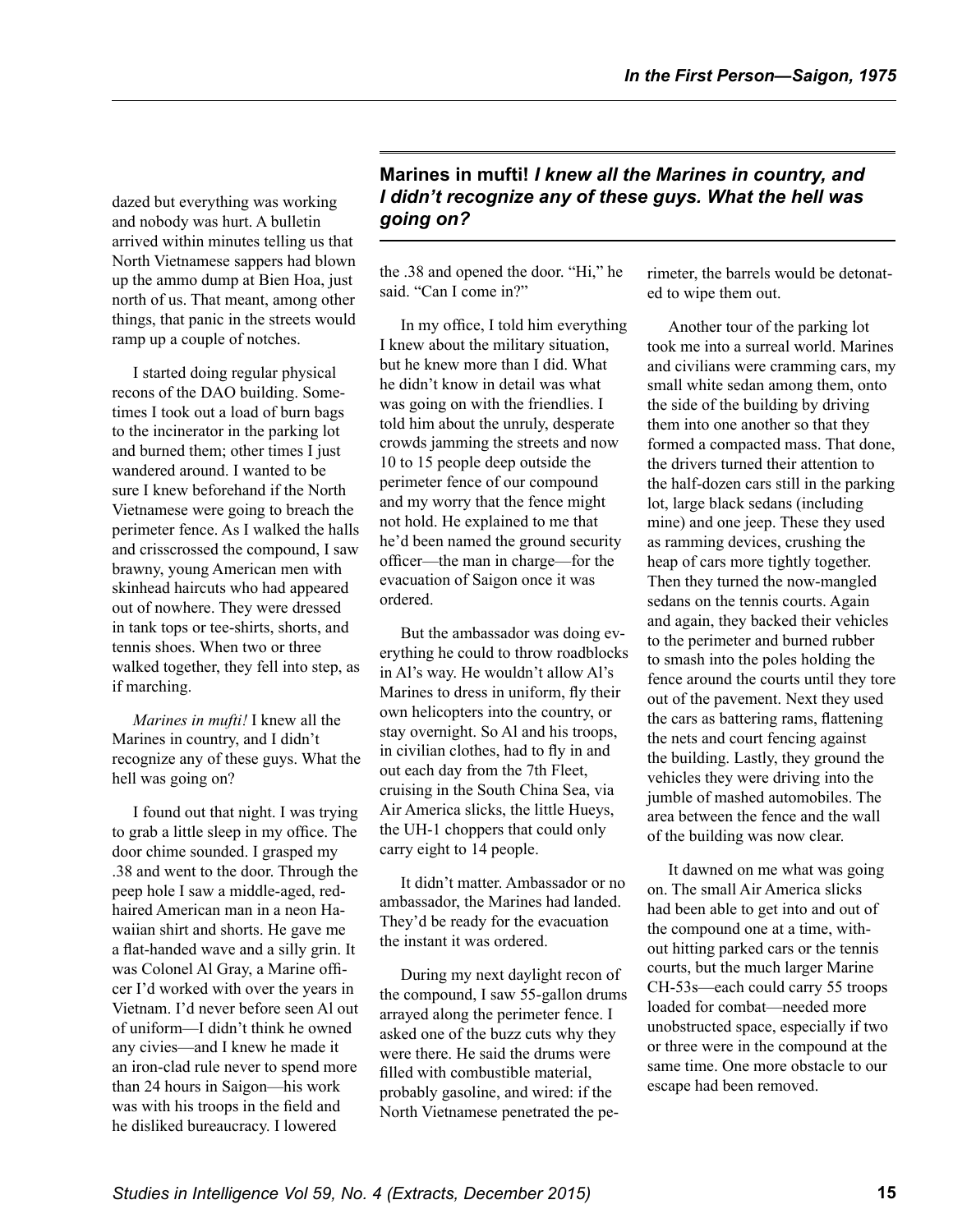dazed but everything was working and nobody was hurt. A bulletin arrived within minutes telling us that North Vietnamese sappers had blown up the ammo dump at Bien Hoa, just north of us. That meant, among other things, that panic in the streets would ramp up a couple of notches.

I started doing regular physical recons of the DAO building. Sometimes I took out a load of burn bags to the incinerator in the parking lot and burned them; other times I just wandered around. I wanted to be sure I knew beforehand if the North Vietnamese were going to breach the perimeter fence. As I walked the halls and crisscrossed the compound, I saw brawny, young American men with skinhead haircuts who had appeared out of nowhere. They were dressed in tank tops or tee-shirts, shorts, and tennis shoes. When two or three walked together, they fell into step, as if marching.

*Marines in mufti!* I knew all the Marines in country, and I didn't recognize any of these guys. What the hell was going on?

I found out that night. I was trying to grab a little sleep in my office. The door chime sounded. I grasped my .38 and went to the door. Through the peep hole I saw a middle-aged, redhaired American man in a neon Hawaiian shirt and shorts. He gave me a flat-handed wave and a silly grin. It was Colonel Al Gray, a Marine officer I'd worked with over the years in Vietnam. I'd never before seen Al out of uniform—I didn't think he owned any civies—and I knew he made it an iron-clad rule never to spend more than 24 hours in Saigon—his work was with his troops in the field and he disliked bureaucracy. I lowered

# **Marines in mufti!** *I knew all the Marines in country, and I didn't recognize any of these guys. What the hell was going on?*

the .38 and opened the door. "Hi," he said. "Can I come in?"

In my office, I told him everything I knew about the military situation, but he knew more than I did. What he didn't know in detail was what was going on with the friendlies. I told him about the unruly, desperate crowds jamming the streets and now 10 to 15 people deep outside the perimeter fence of our compound and my worry that the fence might not hold. He explained to me that he'd been named the ground security officer—the man in charge—for the evacuation of Saigon once it was ordered.

But the ambassador was doing everything he could to throw roadblocks in Al's way. He wouldn't allow Al's Marines to dress in uniform, fly their own helicopters into the country, or stay overnight. So Al and his troops, in civilian clothes, had to fly in and out each day from the 7th Fleet, cruising in the South China Sea, via Air America slicks, the little Hueys, the UH-1 choppers that could only carry eight to 14 people.

It didn't matter. Ambassador or no ambassador, the Marines had landed. They'd be ready for the evacuation the instant it was ordered.

During my next daylight recon of the compound, I saw 55-gallon drums arrayed along the perimeter fence. I asked one of the buzz cuts why they were there. He said the drums were filled with combustible material, probably gasoline, and wired: if the North Vietnamese penetrated the perimeter, the barrels would be detonated to wipe them out.

Another tour of the parking lot took me into a surreal world. Marines and civilians were cramming cars, my small white sedan among them, onto the side of the building by driving them into one another so that they formed a compacted mass. That done, the drivers turned their attention to the half-dozen cars still in the parking lot, large black sedans (including mine) and one jeep. These they used as ramming devices, crushing the heap of cars more tightly together. Then they turned the now-mangled sedans on the tennis courts. Again and again, they backed their vehicles to the perimeter and burned rubber to smash into the poles holding the fence around the courts until they tore out of the pavement. Next they used the cars as battering rams, flattening the nets and court fencing against the building. Lastly, they ground the vehicles they were driving into the jumble of mashed automobiles. The area between the fence and the wall of the building was now clear.

It dawned on me what was going on. The small Air America slicks had been able to get into and out of the compound one at a time, without hitting parked cars or the tennis courts, but the much larger Marine CH-53s—each could carry 55 troops loaded for combat—needed more unobstructed space, especially if two or three were in the compound at the same time. One more obstacle to our escape had been removed.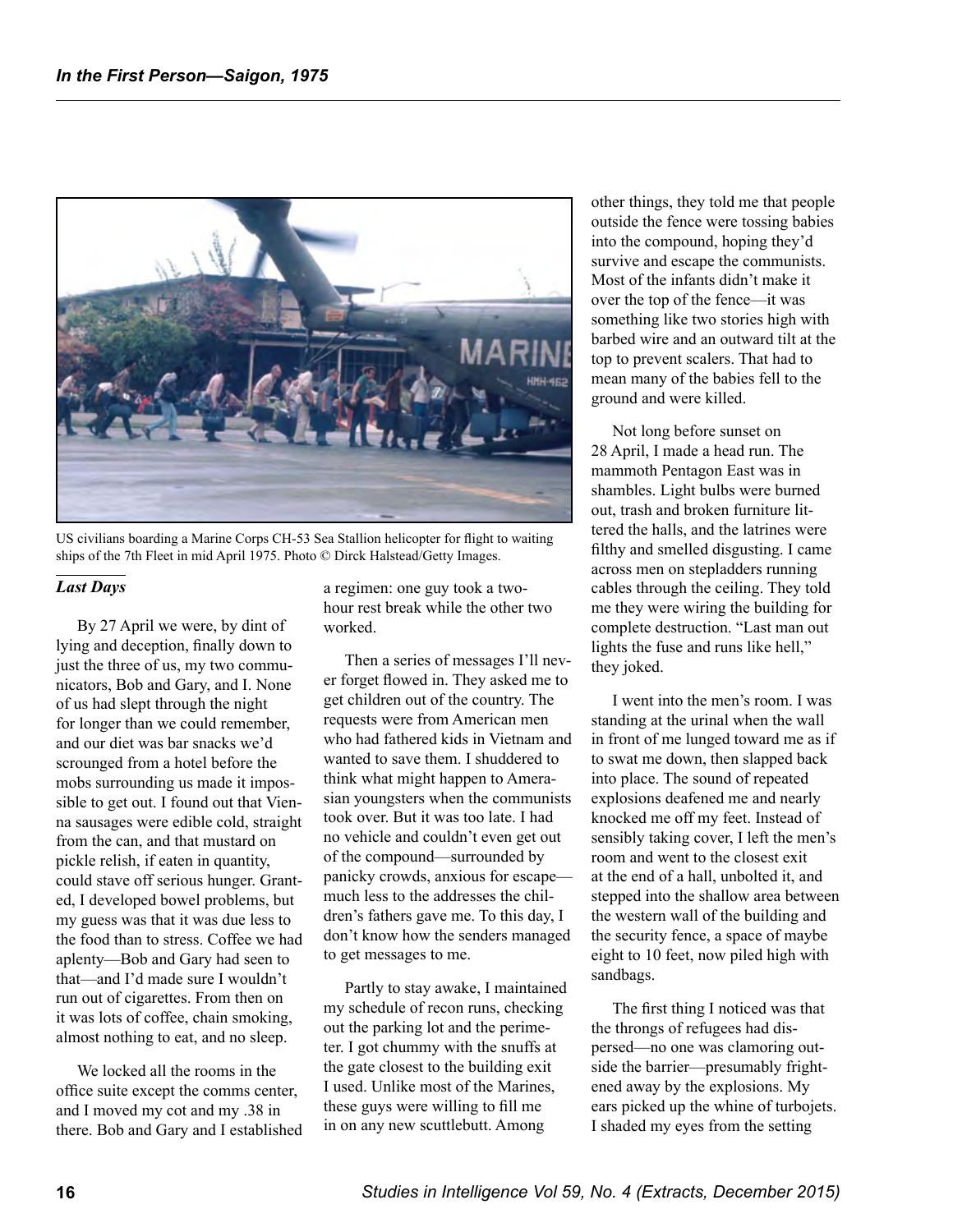

US civilians boarding a Marine Corps CH-53 Sea Stallion helicopter for flight to waiting ships of the 7th Fleet in mid April 1975. Photo © Dirck Halstead/Getty Images.

#### *Last Days*

By 27 April we were, by dint of lying and deception, finally down to just the three of us, my two communicators, Bob and Gary, and I. None of us had slept through the night for longer than we could remember, and our diet was bar snacks we'd scrounged from a hotel before the mobs surrounding us made it impossible to get out. I found out that Vienna sausages were edible cold, straight from the can, and that mustard on pickle relish, if eaten in quantity, could stave off serious hunger. Granted, I developed bowel problems, but my guess was that it was due less to the food than to stress. Coffee we had aplenty—Bob and Gary had seen to that—and I'd made sure I wouldn't run out of cigarettes. From then on it was lots of coffee, chain smoking, almost nothing to eat, and no sleep.

We locked all the rooms in the office suite except the comms center, and I moved my cot and my .38 in there. Bob and Gary and I established a regimen: one guy took a twohour rest break while the other two worked.

Then a series of messages I'll never forget flowed in. They asked me to get children out of the country. The requests were from American men who had fathered kids in Vietnam and wanted to save them. I shuddered to think what might happen to Amerasian youngsters when the communists took over. But it was too late. I had no vehicle and couldn't even get out of the compound—surrounded by panicky crowds, anxious for escape much less to the addresses the children's fathers gave me. To this day, I don't know how the senders managed to get messages to me.

Partly to stay awake, I maintained my schedule of recon runs, checking out the parking lot and the perimeter. I got chummy with the snuffs at the gate closest to the building exit I used. Unlike most of the Marines, these guys were willing to fill me in on any new scuttlebutt. Among

other things, they told me that people outside the fence were tossing babies into the compound, hoping they'd survive and escape the communists. Most of the infants didn't make it over the top of the fence—it was something like two stories high with barbed wire and an outward tilt at the top to prevent scalers. That had to mean many of the babies fell to the ground and were killed.

Not long before sunset on 28 April, I made a head run. The mammoth Pentagon East was in shambles. Light bulbs were burned out, trash and broken furniture littered the halls, and the latrines were filthy and smelled disgusting. I came across men on stepladders running cables through the ceiling. They told me they were wiring the building for complete destruction. "Last man out lights the fuse and runs like hell," they joked.

I went into the men's room. I was standing at the urinal when the wall in front of me lunged toward me as if to swat me down, then slapped back into place. The sound of repeated explosions deafened me and nearly knocked me off my feet. Instead of sensibly taking cover, I left the men's room and went to the closest exit at the end of a hall, unbolted it, and stepped into the shallow area between the western wall of the building and the security fence, a space of maybe eight to 10 feet, now piled high with sandbags.

The first thing I noticed was that the throngs of refugees had dispersed—no one was clamoring outside the barrier—presumably frightened away by the explosions. My ears picked up the whine of turbojets. I shaded my eyes from the setting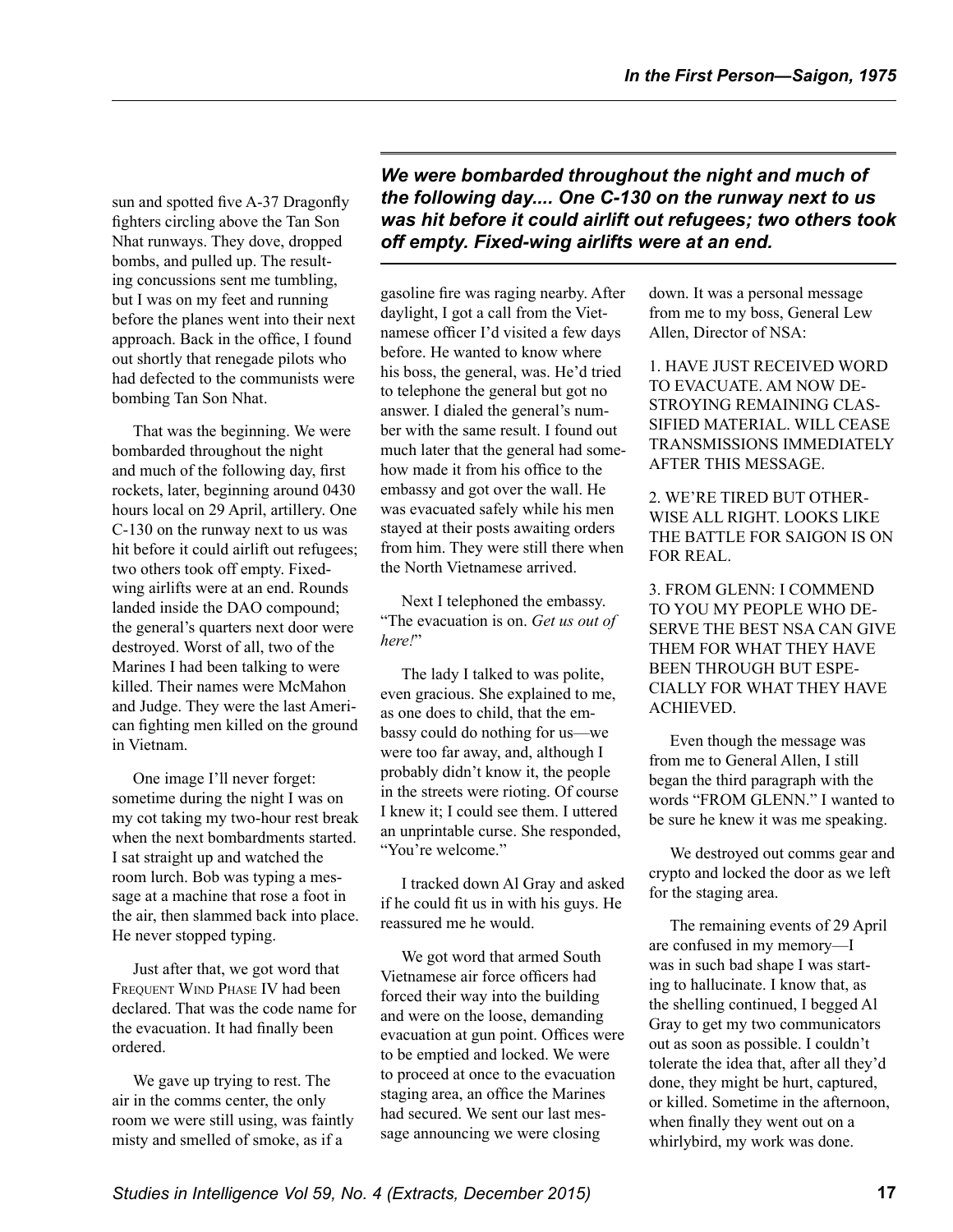sun and spotted five A-37 Dragonfly fighters circling above the Tan Son Nhat runways. They dove, dropped bombs, and pulled up. The resulting concussions sent me tumbling, but I was on my feet and running before the planes went into their next approach. Back in the office, I found out shortly that renegade pilots who had defected to the communists were bombing Tan Son Nhat.

That was the beginning. We were bombarded throughout the night and much of the following day, first rockets, later, beginning around 0430 hours local on 29 April, artillery. One C-130 on the runway next to us was hit before it could airlift out refugees; two others took off empty. Fixedwing airlifts were at an end. Rounds landed inside the DAO compound; the general's quarters next door were destroyed. Worst of all, two of the Marines I had been talking to were killed. Their names were McMahon and Judge. They were the last American fighting men killed on the ground in Vietnam.

One image I'll never forget: sometime during the night I was on my cot taking my two-hour rest break when the next bombardments started. I sat straight up and watched the room lurch. Bob was typing a message at a machine that rose a foot in the air, then slammed back into place. He never stopped typing.

Just after that, we got word that FREQUENT WIND PHASE IV had been declared. That was the code name for the evacuation. It had finally been ordered.

We gave up trying to rest. The air in the comms center, the only room we were still using, was faintly misty and smelled of smoke, as if a

*We were bombarded throughout the night and much of the following day.... One C-130 on the runway next to us was hit before it could airlift out refugees; two others took off empty. Fixed-wing airlifts were at an end.* 

gasoline fire was raging nearby. After daylight, I got a call from the Vietnamese officer I'd visited a few days before. He wanted to know where his boss, the general, was. He'd tried to telephone the general but got no answer. I dialed the general's number with the same result. I found out much later that the general had somehow made it from his office to the embassy and got over the wall. He was evacuated safely while his men stayed at their posts awaiting orders from him. They were still there when the North Vietnamese arrived.

Next I telephoned the embassy. "The evacuation is on. *Get us out of here!*"

The lady I talked to was polite, even gracious. She explained to me, as one does to child, that the embassy could do nothing for us—we were too far away, and, although I probably didn't know it, the people in the streets were rioting. Of course I knew it; I could see them. I uttered an unprintable curse. She responded, "You're welcome."

I tracked down Al Gray and asked if he could fit us in with his guys. He reassured me he would.

We got word that armed South Vietnamese air force officers had forced their way into the building and were on the loose, demanding evacuation at gun point. Offices were to be emptied and locked. We were to proceed at once to the evacuation staging area, an office the Marines had secured. We sent our last message announcing we were closing

down. It was a personal message from me to my boss, General Lew Allen, Director of NSA:

1. HAVE JUST RECEIVED WORD TO EVACUATE. AM NOW DE-STROYING REMAINING CLAS-SIFIED MATERIAL. WILL CEASE TRANSMISSIONS IMMEDIATELY AFTER THIS MESSAGE.

2. WE'RE TIRED BUT OTHER-WISE ALL RIGHT. LOOKS LIKE THE BATTLE FOR SAIGON IS ON FOR REAL.

3. FROM GLENN: I COMMEND TO YOU MY PEOPLE WHO DE-SERVE THE BEST NSA CAN GIVE THEM FOR WHAT THEY HAVE BEEN THROUGH BUT ESPE-CIALLY FOR WHAT THEY HAVE ACHIEVED.

Even though the message was from me to General Allen, I still began the third paragraph with the words "FROM GLENN." I wanted to be sure he knew it was me speaking.

We destroyed out comms gear and crypto and locked the door as we left for the staging area.

The remaining events of 29 April are confused in my memory—I was in such bad shape I was starting to hallucinate. I know that, as the shelling continued, I begged Al Gray to get my two communicators out as soon as possible. I couldn't tolerate the idea that, after all they'd done, they might be hurt, captured, or killed. Sometime in the afternoon, when finally they went out on a whirlybird, my work was done.

*Studies in Intelligence Vol 59, No. 4 (Extracts, December 2015)* **17**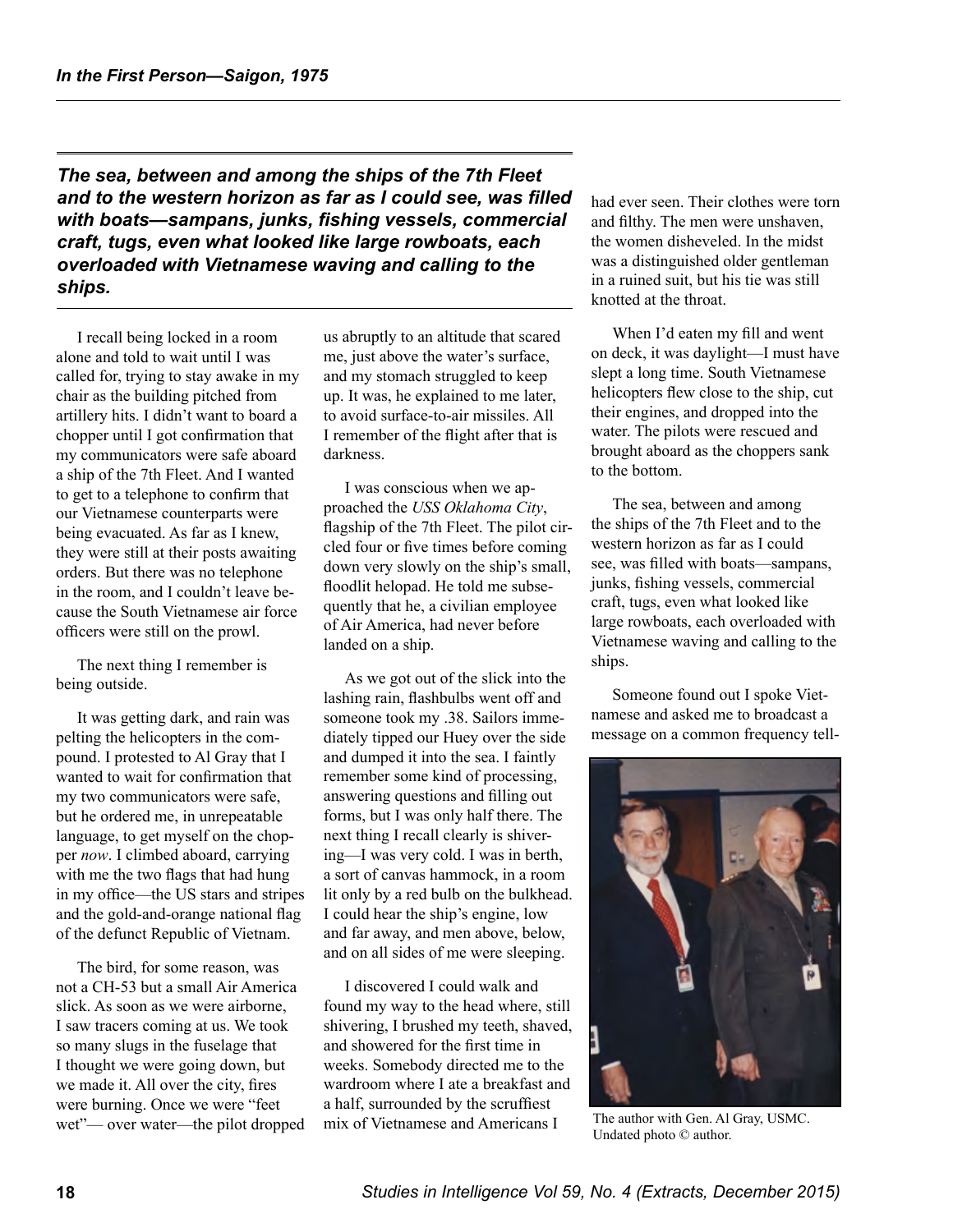*The sea, between and among the ships of the 7th Fleet and to the western horizon as far as I could see, was filled with boats—sampans, junks, fishing vessels, commercial craft, tugs, even what looked like large rowboats, each overloaded with Vietnamese waving and calling to the ships.* 

I recall being locked in a room alone and told to wait until I was called for, trying to stay awake in my chair as the building pitched from artillery hits. I didn't want to board a chopper until I got confirmation that my communicators were safe aboard a ship of the 7th Fleet. And I wanted to get to a telephone to confirm that our Vietnamese counterparts were being evacuated. As far as I knew, they were still at their posts awaiting orders. But there was no telephone in the room, and I couldn't leave because the South Vietnamese air force officers were still on the prowl.

The next thing I remember is being outside.

It was getting dark, and rain was pelting the helicopters in the compound. I protested to Al Gray that I wanted to wait for confirmation that my two communicators were safe, but he ordered me, in unrepeatable language, to get myself on the chopper *now*. I climbed aboard, carrying with me the two flags that had hung in my office—the US stars and stripes and the gold-and-orange national flag of the defunct Republic of Vietnam.

The bird, for some reason, was not a CH-53 but a small Air America slick. As soon as we were airborne, I saw tracers coming at us. We took so many slugs in the fuselage that I thought we were going down, but we made it. All over the city, fires were burning. Once we were "feet wet"— over water—the pilot dropped us abruptly to an altitude that scared me, just above the water's surface, and my stomach struggled to keep up. It was, he explained to me later, to avoid surface-to-air missiles. All I remember of the flight after that is darkness.

I was conscious when we approached the *USS Oklahoma City*, flagship of the 7th Fleet. The pilot circled four or five times before coming down very slowly on the ship's small, floodlit helopad. He told me subsequently that he, a civilian employee of Air America, had never before landed on a ship.

As we got out of the slick into the lashing rain, flashbulbs went off and someone took my .38. Sailors immediately tipped our Huey over the side and dumped it into the sea. I faintly remember some kind of processing, answering questions and filling out forms, but I was only half there. The next thing I recall clearly is shivering—I was very cold. I was in berth, a sort of canvas hammock, in a room lit only by a red bulb on the bulkhead. I could hear the ship's engine, low and far away, and men above, below, and on all sides of me were sleeping.

I discovered I could walk and found my way to the head where, still shivering, I brushed my teeth, shaved, and showered for the first time in weeks. Somebody directed me to the wardroom where I ate a breakfast and a half, surrounded by the scruffiest mix of Vietnamese and Americans I

had ever seen. Their clothes were torn and filthy. The men were unshaven, the women disheveled. In the midst was a distinguished older gentleman in a ruined suit, but his tie was still knotted at the throat.

When I'd eaten my fill and went on deck, it was daylight—I must have slept a long time. South Vietnamese helicopters flew close to the ship, cut their engines, and dropped into the water. The pilots were rescued and brought aboard as the choppers sank to the bottom.

The sea, between and among the ships of the 7th Fleet and to the western horizon as far as I could see, was filled with boats—sampans, junks, fishing vessels, commercial craft, tugs, even what looked like large rowboats, each overloaded with Vietnamese waving and calling to the ships.

Someone found out I spoke Vietnamese and asked me to broadcast a message on a common frequency tell-



The author with Gen. Al Gray, USMC. Undated photo © author.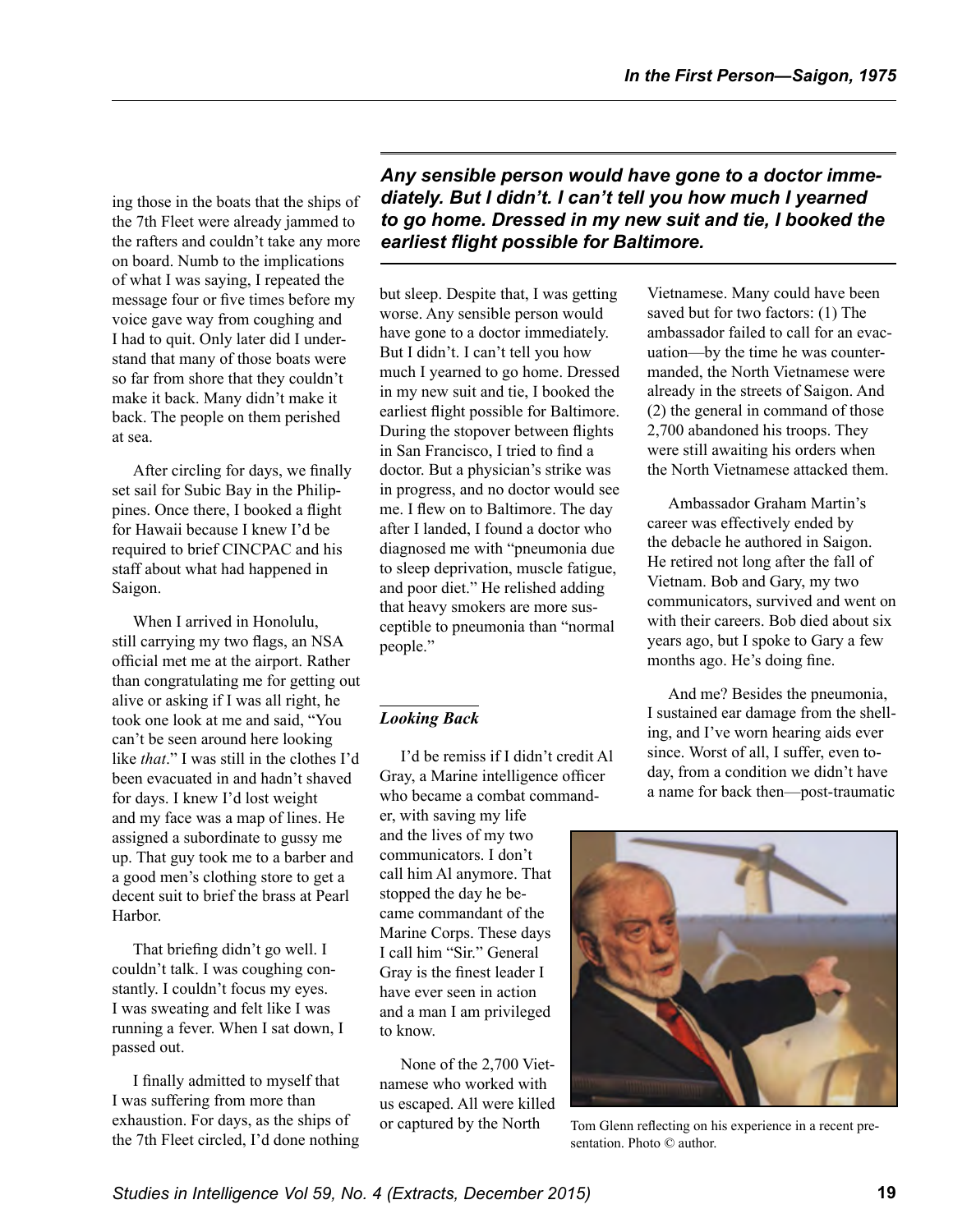ing those in the boats that the ships of the 7th Fleet were already jammed to the rafters and couldn't take any more on board. Numb to the implications of what I was saying, I repeated the message four or five times before my voice gave way from coughing and I had to quit. Only later did I understand that many of those boats were so far from shore that they couldn't make it back. Many didn't make it back. The people on them perished at sea.

After circling for days, we finally set sail for Subic Bay in the Philippines. Once there, I booked a flight for Hawaii because I knew I'd be required to brief CINCPAC and his staff about what had happened in Saigon.

When I arrived in Honolulu, still carrying my two flags, an NSA official met me at the airport. Rather than congratulating me for getting out alive or asking if I was all right, he took one look at me and said, "You can't be seen around here looking like *that*." I was still in the clothes I'd been evacuated in and hadn't shaved for days. I knew I'd lost weight and my face was a map of lines. He assigned a subordinate to gussy me up. That guy took me to a barber and a good men's clothing store to get a decent suit to brief the brass at Pearl Harbor.

That briefing didn't go well. I couldn't talk. I was coughing constantly. I couldn't focus my eyes. I was sweating and felt like I was running a fever. When I sat down, I passed out.

I finally admitted to myself that I was suffering from more than exhaustion. For days, as the ships of the 7th Fleet circled, I'd done nothing *Any sensible person would have gone to a doctor immediately. But I didn't. I can't tell you how much I yearned to go home. Dressed in my new suit and tie, I booked the earliest flight possible for Baltimore.* 

but sleep. Despite that, I was getting worse. Any sensible person would have gone to a doctor immediately. But I didn't. I can't tell you how much I yearned to go home. Dressed in my new suit and tie, I booked the earliest flight possible for Baltimore. During the stopover between flights in San Francisco, I tried to find a doctor. But a physician's strike was in progress, and no doctor would see me. I flew on to Baltimore. The day after I landed, I found a doctor who diagnosed me with "pneumonia due to sleep deprivation, muscle fatigue, and poor diet." He relished adding that heavy smokers are more susceptible to pneumonia than "normal people."

### *Looking Back*

I'd be remiss if I didn't credit Al Gray, a Marine intelligence officer who became a combat commander, with saving my life and the lives of my two communicators. I don't call him Al anymore. That stopped the day he became commandant of the Marine Corps. These days I call him "Sir." General Gray is the finest leader I have ever seen in action and a man I am privileged to know.

None of the 2,700 Vietnamese who worked with us escaped. All were killed or captured by the North

Vietnamese. Many could have been saved but for two factors: (1) The ambassador failed to call for an evacuation—by the time he was countermanded, the North Vietnamese were already in the streets of Saigon. And (2) the general in command of those 2,700 abandoned his troops. They were still awaiting his orders when the North Vietnamese attacked them.

Ambassador Graham Martin's career was effectively ended by the debacle he authored in Saigon. He retired not long after the fall of Vietnam. Bob and Gary, my two communicators, survived and went on with their careers. Bob died about six years ago, but I spoke to Gary a few months ago. He's doing fine.

And me? Besides the pneumonia, I sustained ear damage from the shelling, and I've worn hearing aids ever since. Worst of all, I suffer, even today, from a condition we didn't have a name for back then—post-traumatic



Tom Glenn reflecting on his experience in a recent presentation. Photo © author.